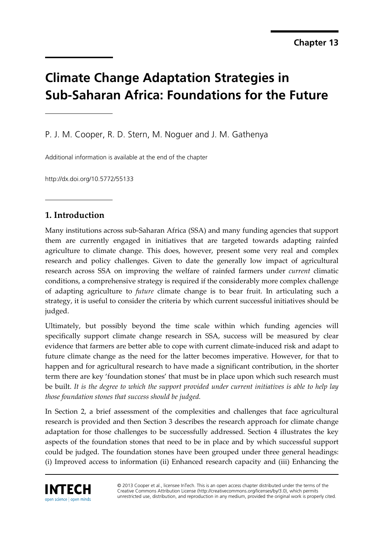# **Climate Change Adaptation Strategies in Sub-Saharan Africa: Foundations for the Future**

P. J. M. Cooper, R. D. Stern, M. Noguer and J. M. Gathenya

Additional information is available at the end of the chapter

http://dx.doi.org/10.5772/55133

## **1. Introduction**

Many institutions across sub-Saharan Africa (SSA) and many funding agencies that support them are currently engaged in initiatives that are targeted towards adapting rainfed agriculture to climate change. This does, however, present some very real and complex research and policy challenges. Given to date the generally low impact of agricultural research across SSA on improving the welfare of rainfed farmers under *current* climatic conditions, a comprehensive strategy is required if the considerably more complex challenge of adapting agriculture to *future* climate change is to bear fruit. In articulating such a strategy, it is useful to consider the criteria by which current successful initiatives should be judged.

Ultimately, but possibly beyond the time scale within which funding agencies will specifically support climate change research in SSA, success will be measured by clear evidence that farmers are better able to cope with current climate-induced risk and adapt to future climate change as the need for the latter becomes imperative. However, for that to happen and for agricultural research to have made a significant contribution, in the shorter term there are key 'foundation stones' that must be in place upon which such research must be built. *It is the degree to which the support provided under current initiatives is able to help lay those foundation stones that success should be judged.*

In Section 2, a brief assessment of the complexities and challenges that face agricultural research is provided and then Section 3 describes the research approach for climate change adaptation for those challenges to be successfully addressed. Section 4 illustrates the key aspects of the foundation stones that need to be in place and by which successful support could be judged. The foundation stones have been grouped under three general headings: (i) Improved access to information (ii) Enhanced research capacity and (iii) Enhancing the

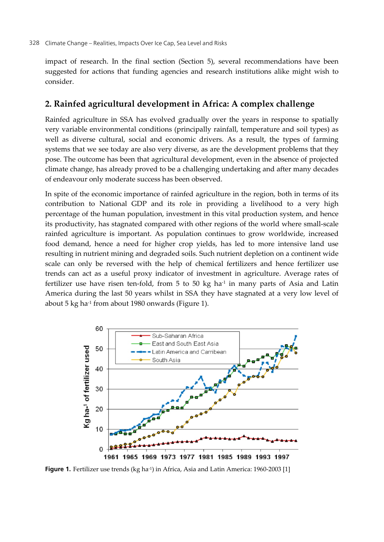impact of research. In the final section (Section 5), several recommendations have been suggested for actions that funding agencies and research institutions alike might wish to consider.

## **2. Rainfed agricultural development in Africa: A complex challenge**

Rainfed agriculture in SSA has evolved gradually over the years in response to spatially very variable environmental conditions (principally rainfall, temperature and soil types) as well as diverse cultural, social and economic drivers. As a result, the types of farming systems that we see today are also very diverse, as are the development problems that they pose. The outcome has been that agricultural development, even in the absence of projected climate change, has already proved to be a challenging undertaking and after many decades of endeavour only moderate success has been observed.

In spite of the economic importance of rainfed agriculture in the region, both in terms of its contribution to National GDP and its role in providing a livelihood to a very high percentage of the human population, investment in this vital production system, and hence its productivity, has stagnated compared with other regions of the world where small-scale rainfed agriculture is important. As population continues to grow worldwide, increased food demand, hence a need for higher crop yields, has led to more intensive land use resulting in nutrient mining and degraded soils. Such nutrient depletion on a continent wide scale can only be reversed with the help of chemical fertilizers and hence fertilizer use trends can act as a useful proxy indicator of investment in agriculture. Average rates of fertilizer use have risen ten-fold, from 5 to 50 kg ha<sup>-1</sup> in many parts of Asia and Latin America during the last 50 years whilst in SSA they have stagnated at a very low level of about 5 kg ha-1 from about 1980 onwards (Figure 1).



Figure 1. Fertilizer use trends (kg ha<sup>-1</sup>) in Africa, Asia and Latin America: 1960-2003 [1]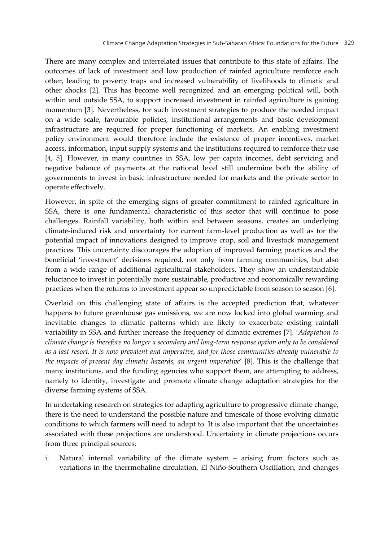There are many complex and interrelated issues that contribute to this state of affairs. The outcomes of lack of investment and low production of rainfed agriculture reinforce each other, leading to poverty traps and increased vulnerability of livelihoods to climatic and other shocks [2]. This has become well recognized and an emerging political will, both within and outside SSA, to support increased investment in rainfed agriculture is gaining momentum [3]. Nevertheless, for such investment strategies to produce the needed impact on a wide scale, favourable policies, institutional arrangements and basic development infrastructure are required for proper functioning of markets. An enabling investment policy environment would therefore include the existence of proper incentives, market access, information, input supply systems and the institutions required to reinforce their use [4, 5]. However, in many countries in SSA, low per capita incomes, debt servicing and negative balance of payments at the national level still undermine both the ability of governments to invest in basic infrastructure needed for markets and the private sector to operate effectively.

However, in spite of the emerging signs of greater commitment to rainfed agriculture in SSA, there is one fundamental characteristic of this sector that will continue to pose challenges. Rainfall variability, both within and between seasons, creates an underlying climate-induced risk and uncertainty for current farm-level production as well as for the potential impact of innovations designed to improve crop, soil and livestock management practices. This uncertainty discourages the adoption of improved farming practices and the beneficial 'investment' decisions required, not only from farming communities, but also from a wide range of additional agricultural stakeholders. They show an understandable reluctance to invest in potentially more sustainable, productive and economically rewarding practices when the returns to investment appear so unpredictable from season to season [6].

Overlaid on this challenging state of affairs is the accepted prediction that, whatever happens to future greenhouse gas emissions, we are now locked into global warming and inevitable changes to climatic patterns which are likely to exacerbate existing rainfall variability in SSA and further increase the frequency of climatic extremes [7]. '*Adaptation to climate change is therefore no longer a secondary and long-term response option only to be considered as a last resort. It is now prevalent and imperative, and for those communities already vulnerable to the impacts of present day climatic hazards, an urgent imperative*' [8]. This is the challenge that many institutions, and the funding agencies who support them, are attempting to address, namely to identify, investigate and promote climate change adaptation strategies for the diverse farming systems of SSA.

In undertaking research on strategies for adapting agriculture to progressive climate change, there is the need to understand the possible nature and timescale of those evolving climatic conditions to which farmers will need to adapt to. It is also important that the uncertainties associated with these projections are understood. Uncertainty in climate projections occurs from three principal sources:

i. Natural internal variability of the climate system – arising from factors such as variations in the therrmohaline circulation, El Niño-Southern Oscillation, and changes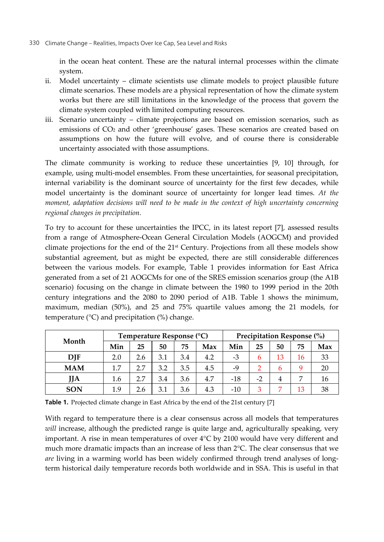in the ocean heat content. These are the natural internal processes within the climate system.

- ii. Model uncertainty climate scientists use climate models to project plausible future climate scenarios. These models are a physical representation of how the climate system works but there are still limitations in the knowledge of the process that govern the climate system coupled with limited computing resources.
- iii. Scenario uncertainty climate projections are based on emission scenarios, such as emissions of CO2 and other 'greenhouse' gases. These scenarios are created based on assumptions on how the future will evolve, and of course there is considerable uncertainty associated with those assumptions.

The climate community is working to reduce these uncertainties [9, 10] through, for example, using multi-model ensembles. From these uncertainties, for seasonal precipitation, internal variability is the dominant source of uncertainty for the first few decades, while model uncertainty is the dominant source of uncertainty for longer lead times. *At the moment, adaptation decisions will need to be made in the context of high uncertainty concerning regional changes in precipitation.* 

To try to account for these uncertainties the IPCC, in its latest report [7], assessed results from a range of Atmosphere-Ocean General Circulation Models (AOGCM) and provided climate projections for the end of the  $21<sup>st</sup>$  Century. Projections from all these models show substantial agreement, but as might be expected, there are still considerable differences between the various models. For example, Table 1 provides information for East Africa generated from a set of 21 AOGCMs for one of the SRES emission scenarios group (the A1B scenario) focusing on the change in climate between the 1980 to 1999 period in the 20th century integrations and the 2080 to 2090 period of A1B. Table 1 shows the minimum, maximum, median (50%), and 25 and 75% quartile values among the 21 models, for temperature  $(^{\circ}C)$  and precipitation  $(^{\circ}\!\%)$  change.

| Month      | Temperature Response (°C) |     |     |     |     | Precipitation Response (%) |      |    |    |     |
|------------|---------------------------|-----|-----|-----|-----|----------------------------|------|----|----|-----|
|            | Min                       | 25  | 50  | 75  | Max | Min                        | 25   | 50 | 75 | Max |
| DJF        | 2.0                       | 2.6 | 3.1 | 3.4 | 4.2 | $-3$                       | 6    | 13 | 16 | 33  |
| <b>MAM</b> | 1.7                       | 2.7 | 3.2 | 3.5 | 4.5 | -9                         |      | 6  | Q  | 20  |
| HА         | 1.6                       | 2.7 | 3.4 | 3.6 | 4.7 | $-18$                      | $-2$ | 4  |    | 16  |
| <b>SON</b> | 1.9                       | 2.6 | 3.1 | 3.6 | 4.3 | $-10$                      | 3    |    | 13 | 38  |

**Table 1.** Projected climate change in East Africa by the end of the 21st century [7]

With regard to temperature there is a clear consensus across all models that temperatures *will* increase, although the predicted range is quite large and, agriculturally speaking, very important. A rise in mean temperatures of over 4°C by 2100 would have very different and much more dramatic impacts than an increase of less than 2°C. The clear consensus that we *are* living in a warming world has been widely confirmed through trend analyses of longterm historical daily temperature records both worldwide and in SSA. This is useful in that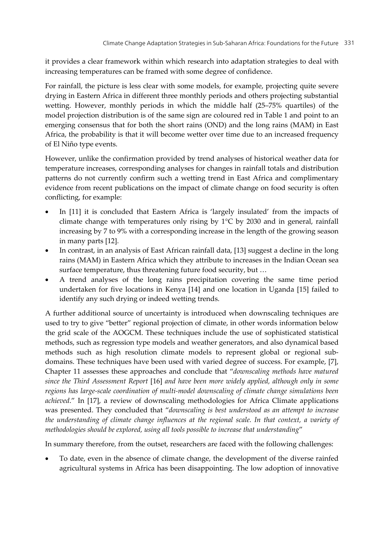it provides a clear framework within which research into adaptation strategies to deal with increasing temperatures can be framed with some degree of confidence.

For rainfall, the picture is less clear with some models, for example, projecting quite severe drying in Eastern Africa in different three monthly periods and others projecting substantial wetting. However, monthly periods in which the middle half (25–75% quartiles) of the model projection distribution is of the same sign are coloured red in Table 1 and point to an emerging consensus that for both the short rains (OND) and the long rains (MAM) in East Africa, the probability is that it will become wetter over time due to an increased frequency of El Niño type events.

However, unlike the confirmation provided by trend analyses of historical weather data for temperature increases, corresponding analyses for changes in rainfall totals and distribution patterns do not currently confirm such a wetting trend in East Africa and complimentary evidence from recent publications on the impact of climate change on food security is often conflicting, for example:

- In [11] it is concluded that Eastern Africa is 'largely insulated' from the impacts of climate change with temperatures only rising by 1°C by 2030 and in general, rainfall increasing by 7 to 9% with a corresponding increase in the length of the growing season in many parts [12].
- In contrast, in an analysis of East African rainfall data, [13] suggest a decline in the long rains (MAM) in Eastern Africa which they attribute to increases in the Indian Ocean sea surface temperature, thus threatening future food security, but …
- A trend analyses of the long rains precipitation covering the same time period undertaken for five locations in Kenya [14] and one location in Uganda [15] failed to identify any such drying or indeed wetting trends.

A further additional source of uncertainty is introduced when downscaling techniques are used to try to give "better" regional projection of climate, in other words information below the grid scale of the AOGCM. These techniques include the use of sophisticated statistical methods, such as regression type models and weather generators, and also dynamical based methods such as high resolution climate models to represent global or regional subdomains. These techniques have been used with varied degree of success. For example, [7], Chapter 11 assesses these approaches and conclude that "*downscaling methods have matured since the Third Assessment Report* [16] *and have been more widely applied, although only in some regions has large-scale coordination of multi-model downscaling of climate change simulations been achieved*." In [17], a review of downscaling methodologies for Africa Climate applications was presented. They concluded that "*downscaling is best understood as an attempt to increase the understanding of climate change influences at the regional scale. In that context, a variety of methodologies should be explored, using all tools possible to increase that understanding*"

In summary therefore, from the outset, researchers are faced with the following challenges:

 To date, even in the absence of climate change, the development of the diverse rainfed agricultural systems in Africa has been disappointing. The low adoption of innovative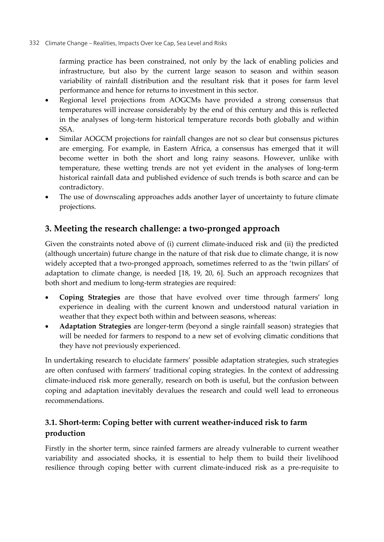farming practice has been constrained, not only by the lack of enabling policies and infrastructure, but also by the current large season to season and within season variability of rainfall distribution and the resultant risk that it poses for farm level performance and hence for returns to investment in this sector.

- Regional level projections from AOGCMs have provided a strong consensus that temperatures will increase considerably by the end of this century and this is reflected in the analyses of long-term historical temperature records both globally and within SSA.
- Similar AOGCM projections for rainfall changes are not so clear but consensus pictures are emerging. For example, in Eastern Africa, a consensus has emerged that it will become wetter in both the short and long rainy seasons. However, unlike with temperature, these wetting trends are not yet evident in the analyses of long-term historical rainfall data and published evidence of such trends is both scarce and can be contradictory.
- The use of downscaling approaches adds another layer of uncertainty to future climate projections.

## **3. Meeting the research challenge: a two-pronged approach**

Given the constraints noted above of (i) current climate-induced risk and (ii) the predicted (although uncertain) future change in the nature of that risk due to climate change, it is now widely accepted that a two-pronged approach, sometimes referred to as the 'twin pillars' of adaptation to climate change, is needed [18, 19, 20, 6]. Such an approach recognizes that both short and medium to long-term strategies are required:

- **Coping Strategies** are those that have evolved over time through farmers' long experience in dealing with the current known and understood natural variation in weather that they expect both within and between seasons, whereas:
- **Adaptation Strategies** are longer-term (beyond a single rainfall season) strategies that will be needed for farmers to respond to a new set of evolving climatic conditions that they have not previously experienced.

In undertaking research to elucidate farmers' possible adaptation strategies, such strategies are often confused with farmers' traditional coping strategies. In the context of addressing climate-induced risk more generally, research on both is useful, but the confusion between coping and adaptation inevitably devalues the research and could well lead to erroneous recommendations.

## **3.1. Short-term: Coping better with current weather-induced risk to farm production**

Firstly in the shorter term, since rainfed farmers are already vulnerable to current weather variability and associated shocks, it is essential to help them to build their livelihood resilience through coping better with current climate-induced risk as a pre-requisite to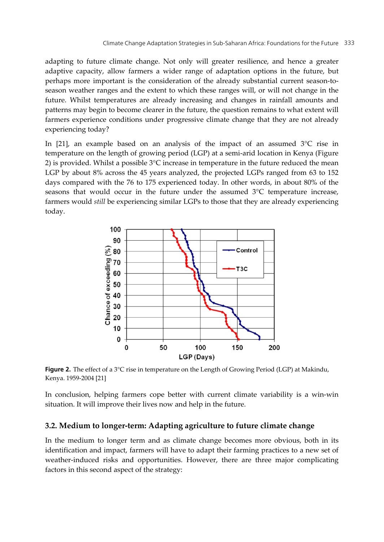adapting to future climate change. Not only will greater resilience, and hence a greater adaptive capacity, allow farmers a wider range of adaptation options in the future, but perhaps more important is the consideration of the already substantial current season-toseason weather ranges and the extent to which these ranges will, or will not change in the future. Whilst temperatures are already increasing and changes in rainfall amounts and patterns may begin to become clearer in the future, the question remains to what extent will farmers experience conditions under progressive climate change that they are not already experiencing today?

In [21], an example based on an analysis of the impact of an assumed  $3^{\circ}$ C rise in temperature on the length of growing period (LGP) at a semi-arid location in Kenya (Figure 2) is provided. Whilst a possible  $3^{\circ}C$  increase in temperature in the future reduced the mean LGP by about 8% across the 45 years analyzed, the projected LGPs ranged from 63 to 152 days compared with the 76 to 175 experienced today. In other words, in about 80% of the seasons that would occur in the future under the assumed  $3^{\circ}C$  temperature increase, farmers would *still* be experiencing similar LGPs to those that they are already experiencing today.



**Figure 2.** The effect of a 3°C rise in temperature on the Length of Growing Period (LGP) at Makindu, Kenya. 1959-2004 [21]

In conclusion, helping farmers cope better with current climate variability is a win-win situation. It will improve their lives now and help in the future.

#### **3.2. Medium to longer-term: Adapting agriculture to future climate change**

In the medium to longer term and as climate change becomes more obvious, both in its identification and impact, farmers will have to adapt their farming practices to a new set of weather-induced risks and opportunities. However, there are three major complicating factors in this second aspect of the strategy: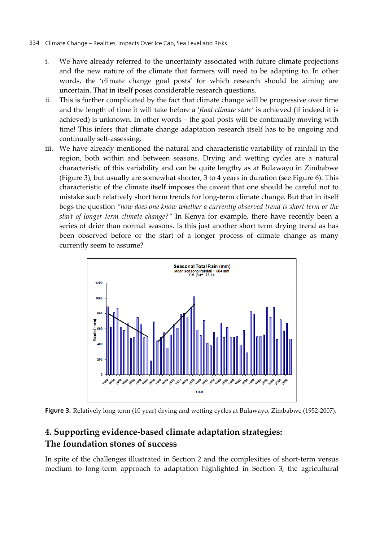- i. We have already referred to the uncertainty associated with future climate projections and the new nature of the climate that farmers will need to be adapting to. In other words, the 'climate change goal posts' for which research should be aiming are uncertain. That in itself poses considerable research questions.
- ii. This is further complicated by the fact that climate change will be progressive over time and the length of time it will take before a '*final climate state'* is achieved (if indeed it is achieved) is unknown. In other words – the goal posts will be continually moving with time! This infers that climate change adaptation research itself has to be ongoing and continually self-assessing.
- iii. We have already mentioned the natural and characteristic variability of rainfall in the region, both within and between seasons. Drying and wetting cycles are a natural characteristic of this variability and can be quite lengthy as at Bulawayo in Zimbabwe (Figure 3), but usually are somewhat shorter, 3 to 4 years in duration (see Figure 6). This characteristic of the climate itself imposes the caveat that one should be careful not to mistake such relatively short term trends for long-term climate change. But that in itself begs the question *"how does one know whether a currently observed trend is short term or the start of longer term climate change?"* In Kenya for example, there have recently been a series of drier than normal seasons. Is this just another short term drying trend as has been observed before or the start of a longer process of climate change as many currently seem to assume?





# **4. Supporting evidence-based climate adaptation strategies: The foundation stones of success**

In spite of the challenges illustrated in Section 2 and the complexities of short-term versus medium to long-term approach to adaptation highlighted in Section 3, the agricultural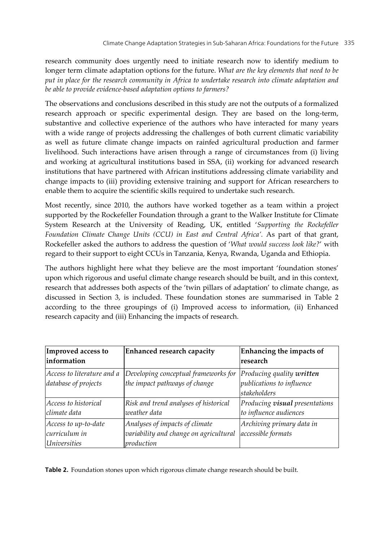research community does urgently need to initiate research now to identify medium to longer term climate adaptation options for the future. *What are the key elements that need to be put in place for the research community in Africa to undertake research into climate adaptation and be able to provide evidence-based adaptation options to farmers?* 

The observations and conclusions described in this study are not the outputs of a formalized research approach or specific experimental design. They are based on the long-term, substantive and collective experience of the authors who have interacted for many years with a wide range of projects addressing the challenges of both current climatic variability as well as future climate change impacts on rainfed agricultural production and farmer livelihood. Such interactions have arisen through a range of circumstances from (i) living and working at agricultural institutions based in SSA, (ii) working for advanced research institutions that have partnered with African institutions addressing climate variability and change impacts to (iii) providing extensive training and support for African researchers to enable them to acquire the scientific skills required to undertake such research.

Most recently, since 2010, the authors have worked together as a team within a project supported by the Rockefeller Foundation through a grant to the Walker Institute for Climate System Research at the University of Reading, UK, entitled '*Supporting the Rockefeller*  Foundation Climate Change Units (CCU) in East and Central Africa'. As part of that grant, Rockefeller asked the authors to address the question of '*What would success look like?*' with regard to their support to eight CCUs in Tanzania, Kenya, Rwanda, Uganda and Ethiopia.

The authors highlight here what they believe are the most important 'foundation stones' upon which rigorous and useful climate change research should be built, and in this context, research that addresses both aspects of the 'twin pillars of adaptation' to climate change, as discussed in Section 3, is included. These foundation stones are summarised in Table 2 according to the three groupings of (i) Improved access to information, (ii) Enhanced research capacity and (iii) Enhancing the impacts of research.

| Improved access to<br>linformation                                         | <b>Enhanced research capacity</b>                                                      | Enhancing the impacts of<br>research                                   |
|----------------------------------------------------------------------------|----------------------------------------------------------------------------------------|------------------------------------------------------------------------|
| Access to literature and a<br>database of projects                         | Developing conceptual frameworks for<br>the impact pathways of change                  | Producing quality written<br>publications to influence<br>stakeholders |
| Access to historical<br>climate data                                       | Risk and trend analyses of historical<br>weather data                                  | Producing visual presentations<br>to influence audiences               |
| Access to up-to-date<br>curriculum in<br><i><u><b>Universities</b></u></i> | Analyses of impacts of climate<br>variability and change on agricultural<br>production | Archiving primary data in<br>accessible formats                        |

**Table 2.** Foundation stones upon which rigorous climate change research should be built.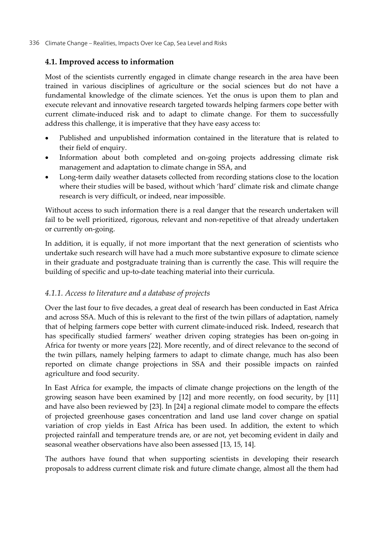#### **4.1. Improved access to information**

Most of the scientists currently engaged in climate change research in the area have been trained in various disciplines of agriculture or the social sciences but do not have a fundamental knowledge of the climate sciences. Yet the onus is upon them to plan and execute relevant and innovative research targeted towards helping farmers cope better with current climate-induced risk and to adapt to climate change. For them to successfully address this challenge, it is imperative that they have easy access to:

- Published and unpublished information contained in the literature that is related to their field of enquiry.
- Information about both completed and on-going projects addressing climate risk management and adaptation to climate change in SSA, and
- Long-term daily weather datasets collected from recording stations close to the location where their studies will be based, without which 'hard' climate risk and climate change research is very difficult, or indeed, near impossible.

Without access to such information there is a real danger that the research undertaken will fail to be well prioritized, rigorous, relevant and non-repetitive of that already undertaken or currently on-going.

In addition, it is equally, if not more important that the next generation of scientists who undertake such research will have had a much more substantive exposure to climate science in their graduate and postgraduate training than is currently the case. This will require the building of specific and up-to-date teaching material into their curricula.

#### *4.1.1. Access to literature and a database of projects*

Over the last four to five decades, a great deal of research has been conducted in East Africa and across SSA. Much of this is relevant to the first of the twin pillars of adaptation, namely that of helping farmers cope better with current climate-induced risk. Indeed, research that has specifically studied farmers' weather driven coping strategies has been on-going in Africa for twenty or more years [22]. More recently, and of direct relevance to the second of the twin pillars, namely helping farmers to adapt to climate change, much has also been reported on climate change projections in SSA and their possible impacts on rainfed agriculture and food security.

In East Africa for example, the impacts of climate change projections on the length of the growing season have been examined by [12] and more recently, on food security, by [11] and have also been reviewed by [23]. In [24] a regional climate model to compare the effects of projected greenhouse gases concentration and land use land cover change on spatial variation of crop yields in East Africa has been used. In addition, the extent to which projected rainfall and temperature trends are, or are not, yet becoming evident in daily and seasonal weather observations have also been assessed [13, 15, 14].

The authors have found that when supporting scientists in developing their research proposals to address current climate risk and future climate change, almost all the them had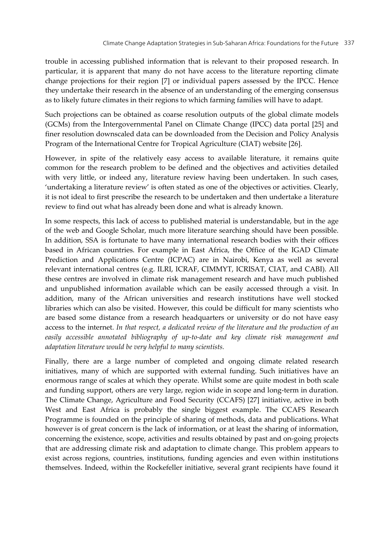trouble in accessing published information that is relevant to their proposed research. In particular, it is apparent that many do not have access to the literature reporting climate change projections for their region [7] or individual papers assessed by the IPCC. Hence they undertake their research in the absence of an understanding of the emerging consensus as to likely future climates in their regions to which farming families will have to adapt.

Such projections can be obtained as coarse resolution outputs of the global climate models (GCMs) from the Intergovernmental Panel on Climate Change (IPCC) data portal [25] and finer resolution downscaled data can be downloaded from the Decision and Policy Analysis Program of the International Centre for Tropical Agriculture (CIAT) website [26].

However, in spite of the relatively easy access to available literature, it remains quite common for the research problem to be defined and the objectives and activities detailed with very little, or indeed any, literature review having been undertaken. In such cases, 'undertaking a literature review' is often stated as one of the objectives or activities. Clearly, it is not ideal to first prescribe the research to be undertaken and then undertake a literature review to find out what has already been done and what is already known.

In some respects, this lack of access to published material is understandable, but in the age of the web and Google Scholar, much more literature searching should have been possible. In addition, SSA is fortunate to have many international research bodies with their offices based in African countries. For example in East Africa, the Office of the IGAD Climate Prediction and Applications Centre (ICPAC) are in Nairobi, Kenya as well as several relevant international centres (e.g. ILRI, ICRAF, CIMMYT, ICRISAT, CIAT, and CABI). All these centres are involved in climate risk management research and have much published and unpublished information available which can be easily accessed through a visit. In addition, many of the African universities and research institutions have well stocked libraries which can also be visited. However, this could be difficult for many scientists who are based some distance from a research headquarters or university or do not have easy access to the internet. *In that respect, a dedicated review of the literature and the production of an*  easily accessible annotated bibliography of up-to-date and key climate risk management and *adaptation literature would be very helpful to many scientists.* 

Finally, there are a large number of completed and ongoing climate related research initiatives, many of which are supported with external funding. Such initiatives have an enormous range of scales at which they operate. Whilst some are quite modest in both scale and funding support, others are very large, region wide in scope and long-term in duration. The Climate Change, Agriculture and Food Security (CCAFS) [27] initiative, active in both West and East Africa is probably the single biggest example. The CCAFS Research Programme is founded on the principle of sharing of methods, data and publications. What however is of great concern is the lack of information, or at least the sharing of information, concerning the existence, scope, activities and results obtained by past and on-going projects that are addressing climate risk and adaptation to climate change. This problem appears to exist across regions, countries, institutions, funding agencies and even within institutions themselves. Indeed, within the Rockefeller initiative, several grant recipients have found it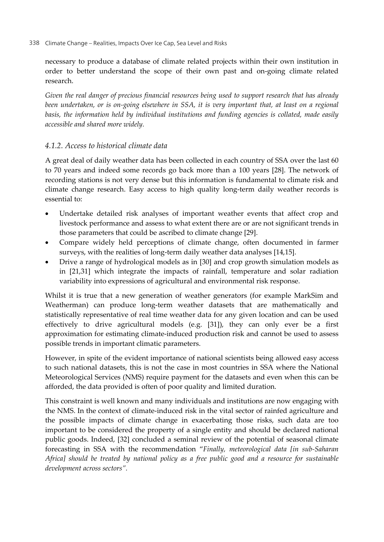necessary to produce a database of climate related projects within their own institution in order to better understand the scope of their own past and on-going climate related research.

*Given the real danger of precious financial resources being used to support research that has already*  been undertaken, or is on-going elsewhere in SSA, it is very important that, at least on a regional *basis, the information held by individual institutions and funding agencies is collated, made easily accessible and shared more widely.* 

#### *4.1.2. Access to historical climate data*

A great deal of daily weather data has been collected in each country of SSA over the last 60 to 70 years and indeed some records go back more than a 100 years [28]. The network of recording stations is not very dense but this information is fundamental to climate risk and climate change research. Easy access to high quality long-term daily weather records is essential to:

- Undertake detailed risk analyses of important weather events that affect crop and livestock performance and assess to what extent there are or are not significant trends in those parameters that could be ascribed to climate change [29].
- Compare widely held perceptions of climate change, often documented in farmer surveys, with the realities of long-term daily weather data analyses [14,15].
- Drive a range of hydrological models as in [30] and crop growth simulation models as in [21,31] which integrate the impacts of rainfall, temperature and solar radiation variability into expressions of agricultural and environmental risk response.

Whilst it is true that a new generation of weather generators (for example MarkSim and Weatherman) can produce long-term weather datasets that are mathematically and statistically representative of real time weather data for any given location and can be used effectively to drive agricultural models (e.g. [31]), they can only ever be a first approximation for estimating climate-induced production risk and cannot be used to assess possible trends in important climatic parameters.

However, in spite of the evident importance of national scientists being allowed easy access to such national datasets, this is not the case in most countries in SSA where the National Meteorological Services (NMS) require payment for the datasets and even when this can be afforded, the data provided is often of poor quality and limited duration.

This constraint is well known and many individuals and institutions are now engaging with the NMS. In the context of climate-induced risk in the vital sector of rainfed agriculture and the possible impacts of climate change in exacerbating those risks, such data are too important to be considered the property of a single entity and should be declared national public goods. Indeed, [32] concluded a seminal review of the potential of seasonal climate forecasting in SSA with the recommendation "*Finally, meteorological data [in sub-Saharan Africa] should be treated by national policy as a free public good and a resource for sustainable development across sectors".*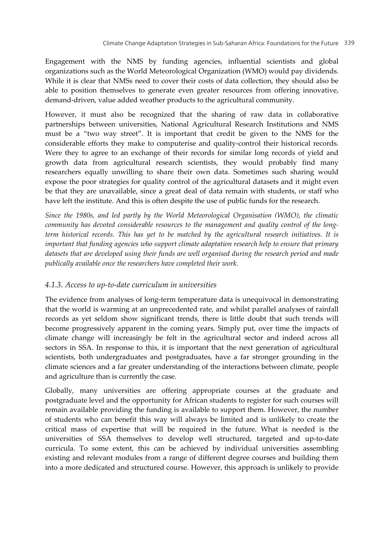Engagement with the NMS by funding agencies, influential scientists and global organizations such as the World Meteorological Organization (WMO) would pay dividends. While it is clear that NMSs need to cover their costs of data collection, they should also be able to position themselves to generate even greater resources from offering innovative, demand-driven, value added weather products to the agricultural community.

However, it must also be recognized that the sharing of raw data in collaborative partnerships between universities, National Agricultural Research Institutions and NMS must be a "two way street". It is important that credit be given to the NMS for the considerable efforts they make to computerise and quality-control their historical records. Were they to agree to an exchange of their records for similar long records of yield and growth data from agricultural research scientists, they would probably find many researchers equally unwilling to share their own data. Sometimes such sharing would expose the poor strategies for quality control of the agricultural datasets and it might even be that they are unavailable, since a great deal of data remain with students, or staff who have left the institute. And this is often despite the use of public funds for the research.

*Since the 1980s, and led partly by the World Meteorological Organisation (WMO), the climatic community has devoted considerable resources to the management and quality control of the longterm historical records. This has yet to be matched by the agricultural research initiatives. It is important that funding agencies who support climate adaptation research help to ensure that primary datasets that are developed using their funds are well organised during the research period and made publically available once the researchers have completed their work.* 

#### *4.1.3. Access to up-to-date curriculum in universities*

The evidence from analyses of long-term temperature data is unequivocal in demonstrating that the world is warming at an unprecedented rate, and whilst parallel analyses of rainfall records as yet seldom show significant trends, there is little doubt that such trends will become progressively apparent in the coming years. Simply put, over time the impacts of climate change will increasingly be felt in the agricultural sector and indeed across all sectors in SSA. In response to this, it is important that the next generation of agricultural scientists, both undergraduates and postgraduates, have a far stronger grounding in the climate sciences and a far greater understanding of the interactions between climate, people and agriculture than is currently the case.

Globally, many universities are offering appropriate courses at the graduate and postgraduate level and the opportunity for African students to register for such courses will remain available providing the funding is available to support them. However, the number of students who can benefit this way will always be limited and is unlikely to create the critical mass of expertise that will be required in the future. What is needed is the universities of SSA themselves to develop well structured, targeted and up-to-date curricula. To some extent, this can be achieved by individual universities assembling existing and relevant modules from a range of different degree courses and building them into a more dedicated and structured course. However, this approach is unlikely to provide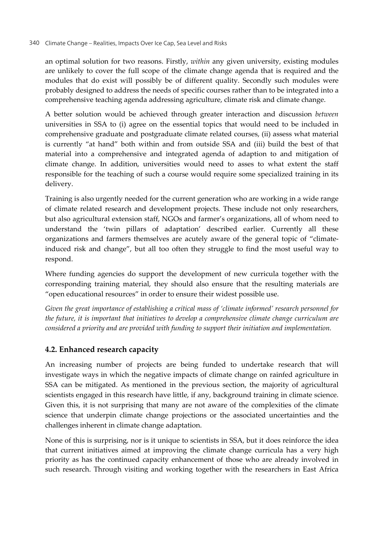an optimal solution for two reasons. Firstly, *within* any given university, existing modules are unlikely to cover the full scope of the climate change agenda that is required and the modules that do exist will possibly be of different quality. Secondly such modules were probably designed to address the needs of specific courses rather than to be integrated into a comprehensive teaching agenda addressing agriculture, climate risk and climate change.

A better solution would be achieved through greater interaction and discussion *between* universities in SSA to (i) agree on the essential topics that would need to be included in comprehensive graduate and postgraduate climate related courses, (ii) assess what material is currently "at hand" both within and from outside SSA and (iii) build the best of that material into a comprehensive and integrated agenda of adaption to and mitigation of climate change. In addition, universities would need to asses to what extent the staff responsible for the teaching of such a course would require some specialized training in its delivery.

Training is also urgently needed for the current generation who are working in a wide range of climate related research and development projects. These include not only researchers, but also agricultural extension staff, NGOs and farmer's organizations, all of whom need to understand the 'twin pillars of adaptation' described earlier. Currently all these organizations and farmers themselves are acutely aware of the general topic of "climateinduced risk and change", but all too often they struggle to find the most useful way to respond.

Where funding agencies do support the development of new curricula together with the corresponding training material, they should also ensure that the resulting materials are "open educational resources" in order to ensure their widest possible use.

*Given the great importance of establishing a critical mass of 'climate informed' research personnel for the future, it is important that initiatives to develop a comprehensive climate change curriculum are considered a priority and are provided with funding to support their initiation and implementation.* 

## **4.2. Enhanced research capacity**

An increasing number of projects are being funded to undertake research that will investigate ways in which the negative impacts of climate change on rainfed agriculture in SSA can be mitigated. As mentioned in the previous section, the majority of agricultural scientists engaged in this research have little, if any, background training in climate science. Given this, it is not surprising that many are not aware of the complexities of the climate science that underpin climate change projections or the associated uncertainties and the challenges inherent in climate change adaptation.

None of this is surprising, nor is it unique to scientists in SSA, but it does reinforce the idea that current initiatives aimed at improving the climate change curricula has a very high priority as has the continued capacity enhancement of those who are already involved in such research. Through visiting and working together with the researchers in East Africa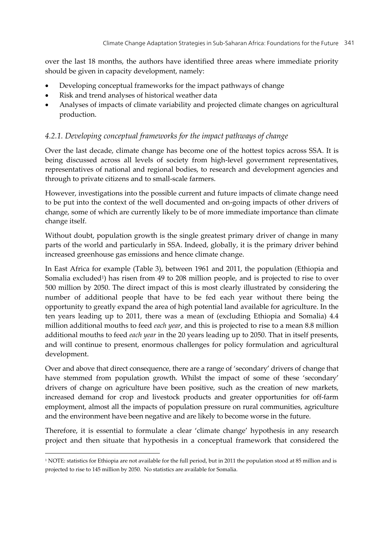over the last 18 months, the authors have identified three areas where immediate priority should be given in capacity development, namely:

- Developing conceptual frameworks for the impact pathways of change
- Risk and trend analyses of historical weather data
- Analyses of impacts of climate variability and projected climate changes on agricultural production.

#### *4.2.1. Developing conceptual frameworks for the impact pathways of change*

Over the last decade, climate change has become one of the hottest topics across SSA. It is being discussed across all levels of society from high-level government representatives, representatives of national and regional bodies, to research and development agencies and through to private citizens and to small-scale farmers.

However, investigations into the possible current and future impacts of climate change need to be put into the context of the well documented and on-going impacts of other drivers of change, some of which are currently likely to be of more immediate importance than climate change itself.

Without doubt, population growth is the single greatest primary driver of change in many parts of the world and particularly in SSA. Indeed, globally, it is the primary driver behind increased greenhouse gas emissions and hence climate change.

In East Africa for example (Table 3), between 1961 and 2011, the population (Ethiopia and Somalia excluded<sup>1</sup>) has risen from 49 to 208 million people, and is projected to rise to over 500 million by 2050. The direct impact of this is most clearly illustrated by considering the number of additional people that have to be fed each year without there being the opportunity to greatly expand the area of high potential land available for agriculture. In the ten years leading up to 2011, there was a mean of (excluding Ethiopia and Somalia) 4.4 million additional mouths to feed *each year*, and this is projected to rise to a mean 8.8 million additional mouths to feed *each year* in the 20 years leading up to 2050. That in itself presents, and will continue to present, enormous challenges for policy formulation and agricultural development.

Over and above that direct consequence, there are a range of 'secondary' drivers of change that have stemmed from population growth. Whilst the impact of some of these 'secondary' drivers of change on agriculture have been positive, such as the creation of new markets, increased demand for crop and livestock products and greater opportunities for off-farm employment, almost all the impacts of population pressure on rural communities, agriculture and the environment have been negative and are likely to become worse in the future.

Therefore, it is essential to formulate a clear 'climate change' hypothesis in any research project and then situate that hypothesis in a conceptual framework that considered the

j

<sup>1</sup> NOTE: statistics for Ethiopia are not available for the full period, but in 2011 the population stood at 85 million and is projected to rise to 145 million by 2050. No statistics are available for Somalia.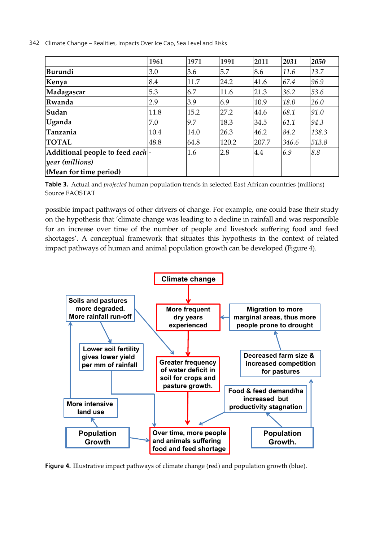342 Climate Change – Realities, Impacts Over Ice Cap, Sea Level and Risks

|                                 | 1961 | 1971 | 1991  | 2011  | 2031  | 2050  |
|---------------------------------|------|------|-------|-------|-------|-------|
| Burundi                         | 3.0  | 3.6  | 5.7   | 8.6   | 11.6  | 13.7  |
| Kenya                           | 8.4  | 11.7 | 24.2  | 41.6  | 67.4  | 96.9  |
| Madagascar                      | 5.3  | 6.7  | 11.6  | 21.3  | 36.2  | 53.6  |
| Rwanda                          | 2.9  | 3.9  | 6.9   | 10.9  | 18.0  | 26.0  |
| Sudan                           | 11.8 | 15.2 | 27.2  | 44.6  | 68.1  | 91.0  |
| Uganda                          | 7.0  | 9.7  | 18.3  | 34.5  | 61.1  | 94.3  |
| Tanzania                        | 10.4 | 14.0 | 26.3  | 46.2  | 84.2  | 138.3 |
| <b>TOTAL</b>                    | 48.8 | 64.8 | 120.2 | 207.7 | 346.6 | 513.8 |
| Additional people to feed each- |      | 1.6  | 2.8   | 4.4   | 6.9   | 8.8   |
| year (millions)                 |      |      |       |       |       |       |
| (Mean for time period)          |      |      |       |       |       |       |

**Table 3.** Actual and *projected* human population trends in selected East African countries (millions) Source FAOSTAT

possible impact pathways of other drivers of change. For example, one could base their study on the hypothesis that 'climate change was leading to a decline in rainfall and was responsible for an increase over time of the number of people and livestock suffering food and feed shortages'. A conceptual framework that situates this hypothesis in the context of related impact pathways of human and animal population growth can be developed (Figure 4).



**Figure 4.** Illustrative impact pathways of climate change (red) and population growth (blue).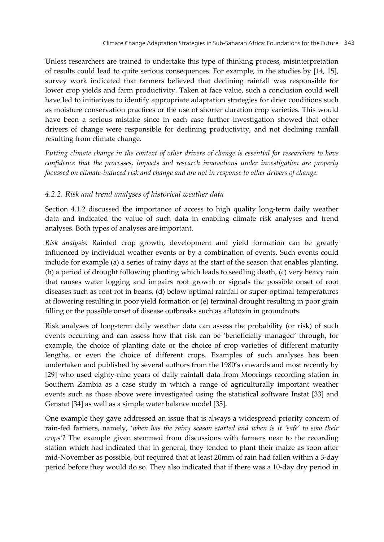Unless researchers are trained to undertake this type of thinking process, misinterpretation of results could lead to quite serious consequences. For example, in the studies by [14, 15], survey work indicated that farmers believed that declining rainfall was responsible for lower crop yields and farm productivity. Taken at face value, such a conclusion could well have led to initiatives to identify appropriate adaptation strategies for drier conditions such as moisture conservation practices or the use of shorter duration crop varieties. This would have been a serious mistake since in each case further investigation showed that other drivers of change were responsible for declining productivity, and not declining rainfall resulting from climate change.

*Putting climate change in the context of other drivers of change is essential for researchers to have confidence that the processes, impacts and research innovations under investigation are properly focussed on climate-induced risk and change and are not in response to other drivers of change.* 

#### *4.2.2. Risk and trend analyses of historical weather data*

Section 4.1.2 discussed the importance of access to high quality long-term daily weather data and indicated the value of such data in enabling climate risk analyses and trend analyses. Both types of analyses are important.

*Risk analysis:* Rainfed crop growth, development and yield formation can be greatly influenced by individual weather events or by a combination of events. Such events could include for example (a) a series of rainy days at the start of the season that enables planting, (b) a period of drought following planting which leads to seedling death, (c) very heavy rain that causes water logging and impairs root growth or signals the possible onset of root diseases such as root rot in beans, (d) below optimal rainfall or super-optimal temperatures at flowering resulting in poor yield formation or (e) terminal drought resulting in poor grain filling or the possible onset of disease outbreaks such as aflotoxin in groundnuts.

Risk analyses of long-term daily weather data can assess the probability (or risk) of such events occurring and can assess how that risk can be 'beneficially managed' through, for example, the choice of planting date or the choice of crop varieties of different maturity lengths, or even the choice of different crops. Examples of such analyses has been undertaken and published by several authors from the 1980's onwards and most recently by [29] who used eighty-nine years of daily rainfall data from Moorings recording station in Southern Zambia as a case study in which a range of agriculturally important weather events such as those above were investigated using the statistical software Instat [33] and Genstat [34] as well as a simple water balance model [35].

One example they gave addressed an issue that is always a widespread priority concern of rain-fed farmers, namely, '*when has the rainy season started and when is it 'safe' to sow their crops'*? The example given stemmed from discussions with farmers near to the recording station which had indicated that in general, they tended to plant their maize as soon after mid-November as possible, but required that at least 20mm of rain had fallen within a 3-day period before they would do so. They also indicated that if there was a 10-day dry period in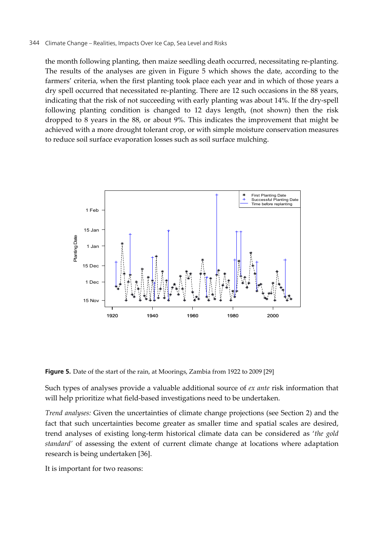the month following planting, then maize seedling death occurred, necessitating re-planting. The results of the analyses are given in Figure 5 which shows the date, according to the farmers' criteria, when the first planting took place each year and in which of those years a dry spell occurred that necessitated re-planting. There are 12 such occasions in the 88 years, indicating that the risk of not succeeding with early planting was about 14%. If the dry-spell following planting condition is changed to 12 days length, (not shown) then the risk dropped to 8 years in the 88, or about 9%. This indicates the improvement that might be achieved with a more drought tolerant crop, or with simple moisture conservation measures to reduce soil surface evaporation losses such as soil surface mulching.



**Figure 5.** Date of the start of the rain, at Moorings, Zambia from 1922 to 2009 [29]

Such types of analyses provide a valuable additional source of *ex ante* risk information that will help prioritize what field-based investigations need to be undertaken.

*Trend analyses:* Given the uncertainties of climate change projections (see Section 2) and the fact that such uncertainties become greater as smaller time and spatial scales are desired, trend analyses of existing long-term historical climate data can be considered as '*the gold standard'* of assessing the extent of current climate change at locations where adaptation research is being undertaken [36].

It is important for two reasons: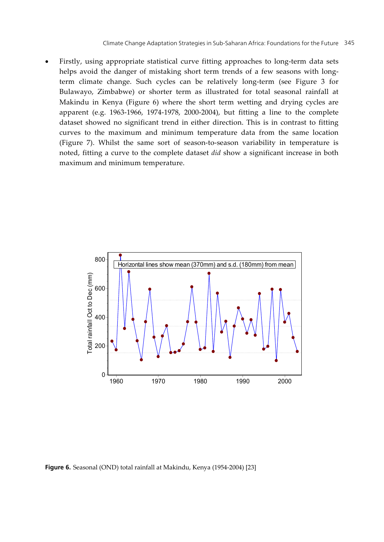Firstly, using appropriate statistical curve fitting approaches to long-term data sets helps avoid the danger of mistaking short term trends of a few seasons with longterm climate change. Such cycles can be relatively long-term (see Figure 3 for Bulawayo, Zimbabwe) or shorter term as illustrated for total seasonal rainfall at Makindu in Kenya (Figure 6) where the short term wetting and drying cycles are apparent (e.g. 1963-1966, 1974-1978, 2000-2004), but fitting a line to the complete dataset showed no significant trend in either direction. This is in contrast to fitting curves to the maximum and minimum temperature data from the same location (Figure 7). Whilst the same sort of season-to-season variability in temperature is noted, fitting a curve to the complete dataset *did* show a significant increase in both maximum and minimum temperature.



**Figure 6.** Seasonal (OND) total rainfall at Makindu, Kenya (1954-2004) [23]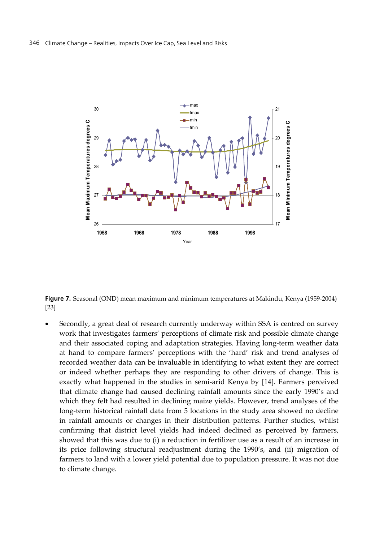

**Figure 7.** Seasonal (OND) mean maximum and minimum temperatures at Makindu, Kenya (1959-2004) [23]

 Secondly, a great deal of research currently underway within SSA is centred on survey work that investigates farmers' perceptions of climate risk and possible climate change and their associated coping and adaptation strategies. Having long-term weather data at hand to compare farmers' perceptions with the 'hard' risk and trend analyses of recorded weather data can be invaluable in identifying to what extent they are correct or indeed whether perhaps they are responding to other drivers of change. This is exactly what happened in the studies in semi-arid Kenya by [14]. Farmers perceived that climate change had caused declining rainfall amounts since the early 1990's and which they felt had resulted in declining maize yields. However, trend analyses of the long-term historical rainfall data from 5 locations in the study area showed no decline in rainfall amounts or changes in their distribution patterns. Further studies, whilst confirming that district level yields had indeed declined as perceived by farmers, showed that this was due to (i) a reduction in fertilizer use as a result of an increase in its price following structural readjustment during the 1990's, and (ii) migration of farmers to land with a lower yield potential due to population pressure. It was not due to climate change.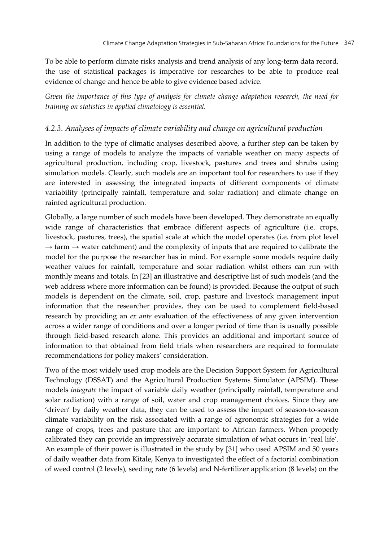To be able to perform climate risks analysis and trend analysis of any long-term data record, the use of statistical packages is imperative for researches to be able to produce real evidence of change and hence be able to give evidence based advice.

*Given the importance of this type of analysis for climate change adaptation research, the need for training on statistics in applied climatology is essential.* 

#### *4.2.3. Analyses of impacts of climate variability and change on agricultural production*

In addition to the type of climatic analyses described above, a further step can be taken by using a range of models to analyze the impacts of variable weather on many aspects of agricultural production, including crop, livestock, pastures and trees and shrubs using simulation models. Clearly, such models are an important tool for researchers to use if they are interested in assessing the integrated impacts of different components of climate variability (principally rainfall, temperature and solar radiation) and climate change on rainfed agricultural production.

Globally, a large number of such models have been developed. They demonstrate an equally wide range of characteristics that embrace different aspects of agriculture (i.e. crops, livestock, pastures, trees), the spatial scale at which the model operates (i.e. from plot level  $\rightarrow$  farm  $\rightarrow$  water catchment) and the complexity of inputs that are required to calibrate the model for the purpose the researcher has in mind. For example some models require daily weather values for rainfall, temperature and solar radiation whilst others can run with monthly means and totals. In [23] an illustrative and descriptive list of such models (and the web address where more information can be found) is provided. Because the output of such models is dependent on the climate, soil, crop, pasture and livestock management input information that the researcher provides, they can be used to complement field-based research by providing an *ex ante* evaluation of the effectiveness of any given intervention across a wider range of conditions and over a longer period of time than is usually possible through field-based research alone. This provides an additional and important source of information to that obtained from field trials when researchers are required to formulate recommendations for policy makers' consideration.

Two of the most widely used crop models are the Decision Support System for Agricultural Technology (DSSAT) and the Agricultural Production Systems Simulator (APSIM). These models *integrate* the impact of variable daily weather (principally rainfall, temperature and solar radiation) with a range of soil, water and crop management choices. Since they are 'driven' by daily weather data, they can be used to assess the impact of season-to-season climate variability on the risk associated with a range of agronomic strategies for a wide range of crops, trees and pasture that are important to African farmers. When properly calibrated they can provide an impressively accurate simulation of what occurs in 'real life'. An example of their power is illustrated in the study by [31] who used APSIM and 50 years of daily weather data from Kitale, Kenya to investigated the effect of a factorial combination of weed control (2 levels), seeding rate (6 levels) and N-fertilizer application (8 levels) on the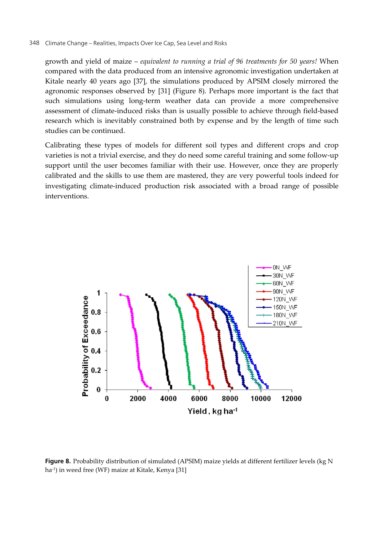growth and yield of maize – *equivalent to running a trial of 96 treatments for 50 years!* When compared with the data produced from an intensive agronomic investigation undertaken at Kitale nearly 40 years ago [37], the simulations produced by APSIM closely mirrored the agronomic responses observed by [31] (Figure 8). Perhaps more important is the fact that such simulations using long-term weather data can provide a more comprehensive assessment of climate-induced risks than is usually possible to achieve through field-based research which is inevitably constrained both by expense and by the length of time such studies can be continued.

Calibrating these types of models for different soil types and different crops and crop varieties is not a trivial exercise, and they do need some careful training and some follow-up support until the user becomes familiar with their use. However, once they are properly calibrated and the skills to use them are mastered, they are very powerful tools indeed for investigating climate-induced production risk associated with a broad range of possible interventions.



**Figure 8.** Probability distribution of simulated (APSIM) maize yields at different fertilizer levels (kg N ha-1) in weed free (WF) maize at Kitale, Kenya [31]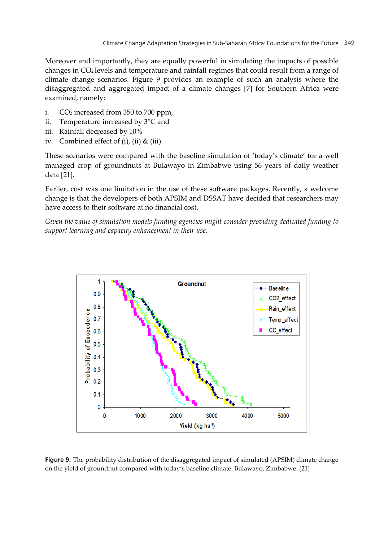Moreover and importantly, they are equally powerful in simulating the impacts of possible changes in CO2 levels and temperature and rainfall regimes that could result from a range of climate change scenarios. Figure 9 provides an example of such an analysis where the disaggregated and aggregated impact of a climate changes [7] for Southern Africa were examined, namely:

- i. CO<sub>2</sub> increased from 350 to 700 ppm,
- ii. Temperature increased by 3°C and
- iii. Rainfall decreased by 10%
- iv. Combined effect of (i), (ii) & (iii)

These scenarios were compared with the baseline simulation of 'today's climate' for a well managed crop of groundnuts at Bulawayo in Zimbabwe using 56 years of daily weather data [21].

Earlier, cost was one limitation in the use of these software packages. Recently, a welcome change is that the developers of both APSIM and DSSAT have decided that researchers may have access to their software at no financial cost.

*Given the value of simulation models funding agencies might consider providing dedicated funding to support learning and capacity enhancement in their use.* 



**Figure 9.** The probability distribution of the disaggregated impact of simulated (APSIM) climate change on the yield of groundnut compared with today's baseline climate. Bulawayo, Zimbabwe. [21]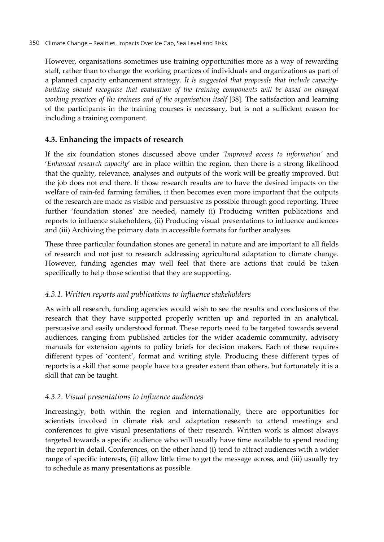However, organisations sometimes use training opportunities more as a way of rewarding staff, rather than to change the working practices of individuals and organizations as part of a planned capacity enhancement strategy. *It is suggested that proposals that include capacity*building should recognise that evaluation of the training components will be based on changed *working practices of the trainees and of the organisation itself* [38]*.* The satisfaction and learning of the participants in the training courses is necessary, but is not a sufficient reason for including a training component.

## **4.3. Enhancing the impacts of research**

If the six foundation stones discussed above under *'Improved access to information'* and '*Enhanced research capacity*' are in place within the region, then there is a strong likelihood that the quality, relevance, analyses and outputs of the work will be greatly improved. But the job does not end there. If those research results are to have the desired impacts on the welfare of rain-fed farming families, it then becomes even more important that the outputs of the research are made as visible and persuasive as possible through good reporting. Three further 'foundation stones' are needed, namely (i) Producing written publications and reports to influence stakeholders, (ii) Producing visual presentations to influence audiences and (iii) Archiving the primary data in accessible formats for further analyses.

These three particular foundation stones are general in nature and are important to all fields of research and not just to research addressing agricultural adaptation to climate change. However, funding agencies may well feel that there are actions that could be taken specifically to help those scientist that they are supporting.

#### *4.3.1. Written reports and publications to influence stakeholders*

As with all research, funding agencies would wish to see the results and conclusions of the research that they have supported properly written up and reported in an analytical, persuasive and easily understood format. These reports need to be targeted towards several audiences, ranging from published articles for the wider academic community, advisory manuals for extension agents to policy briefs for decision makers. Each of these requires different types of 'content', format and writing style. Producing these different types of reports is a skill that some people have to a greater extent than others, but fortunately it is a skill that can be taught.

## *4.3.2. Visual presentations to influence audiences*

Increasingly, both within the region and internationally, there are opportunities for scientists involved in climate risk and adaptation research to attend meetings and conferences to give visual presentations of their research. Written work is almost always targeted towards a specific audience who will usually have time available to spend reading the report in detail. Conferences, on the other hand (i) tend to attract audiences with a wider range of specific interests, (ii) allow little time to get the message across, and (iii) usually try to schedule as many presentations as possible.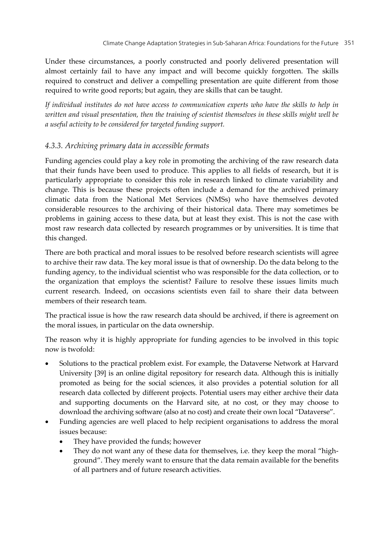Under these circumstances, a poorly constructed and poorly delivered presentation will almost certainly fail to have any impact and will become quickly forgotten. The skills required to construct and deliver a compelling presentation are quite different from those required to write good reports; but again, they are skills that can be taught.

*If individual institutes do not have access to communication experts who have the skills to help in written and visual presentation, then the training of scientist themselves in these skills might well be a useful activity to be considered for targeted funding support.* 

#### *4.3.3. Archiving primary data in accessible formats*

Funding agencies could play a key role in promoting the archiving of the raw research data that their funds have been used to produce. This applies to all fields of research, but it is particularly appropriate to consider this role in research linked to climate variability and change. This is because these projects often include a demand for the archived primary climatic data from the National Met Services (NMSs) who have themselves devoted considerable resources to the archiving of their historical data. There may sometimes be problems in gaining access to these data, but at least they exist. This is not the case with most raw research data collected by research programmes or by universities. It is time that this changed.

There are both practical and moral issues to be resolved before research scientists will agree to archive their raw data. The key moral issue is that of ownership. Do the data belong to the funding agency, to the individual scientist who was responsible for the data collection, or to the organization that employs the scientist? Failure to resolve these issues limits much current research. Indeed, on occasions scientists even fail to share their data between members of their research team.

The practical issue is how the raw research data should be archived, if there is agreement on the moral issues, in particular on the data ownership.

The reason why it is highly appropriate for funding agencies to be involved in this topic now is twofold:

- Solutions to the practical problem exist. For example, the Dataverse Network at Harvard University [39] is an online digital repository for research data. Although this is initially promoted as being for the social sciences, it also provides a potential solution for all research data collected by different projects. Potential users may either archive their data and supporting documents on the Harvard site, at no cost, or they may choose to download the archiving software (also at no cost) and create their own local "Dataverse".
- Funding agencies are well placed to help recipient organisations to address the moral issues because:
	- They have provided the funds; however
	- They do not want any of these data for themselves, i.e. they keep the moral "highground". They merely want to ensure that the data remain available for the benefits of all partners and of future research activities.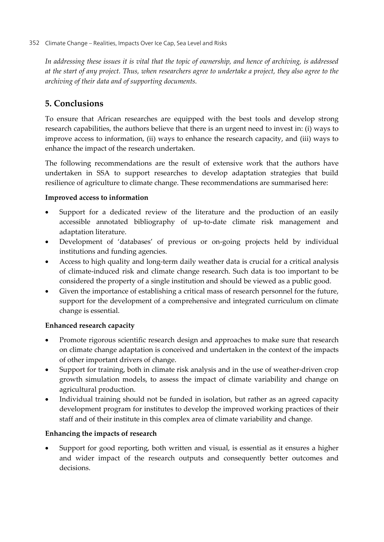*In addressing these issues it is vital that the topic of ownership, and hence of archiving, is addressed at the start of any project. Thus, when researchers agree to undertake a project, they also agree to the archiving of their data and of supporting documents.* 

## **5. Conclusions**

To ensure that African researches are equipped with the best tools and develop strong research capabilities, the authors believe that there is an urgent need to invest in: (i) ways to improve access to information, (ii) ways to enhance the research capacity, and (iii) ways to enhance the impact of the research undertaken.

The following recommendations are the result of extensive work that the authors have undertaken in SSA to support researches to develop adaptation strategies that build resilience of agriculture to climate change. These recommendations are summarised here:

#### **Improved access to information**

- Support for a dedicated review of the literature and the production of an easily accessible annotated bibliography of up-to-date climate risk management and adaptation literature.
- Development of 'databases' of previous or on-going projects held by individual institutions and funding agencies.
- Access to high quality and long-term daily weather data is crucial for a critical analysis of climate-induced risk and climate change research. Such data is too important to be considered the property of a single institution and should be viewed as a public good*.*
- Given the importance of establishing a critical mass of research personnel for the future, support for the development of a comprehensive and integrated curriculum on climate change is essential.

#### **Enhanced research capacity**

- Promote rigorous scientific research design and approaches to make sure that research on climate change adaptation is conceived and undertaken in the context of the impacts of other important drivers of change.
- Support for training, both in climate risk analysis and in the use of weather-driven crop growth simulation models, to assess the impact of climate variability and change on agricultural production.
- Individual training should not be funded in isolation, but rather as an agreed capacity development program for institutes to develop the improved working practices of their staff and of their institute in this complex area of climate variability and change.

#### **Enhancing the impacts of research**

 Support for good reporting, both written and visual, is essential as it ensures a higher and wider impact of the research outputs and consequently better outcomes and decisions.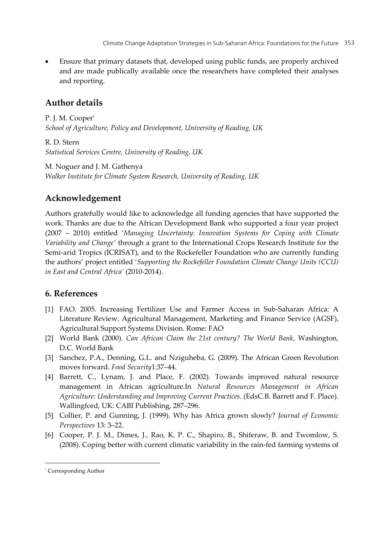Ensure that primary datasets that, developed using public funds, are properly archived and are made publically available once the researchers have completed their analyses and reporting.

## **Author details**

P. J. M. Cooper\* *School of Agriculture, Policy and Development, University of Reading, UK* 

R. D. Stern *Statistical Services Centre, University of Reading, UK* 

M. Noguer and J. M. Gathenya *Walker Institute for Climate System Research, University of Reading, UK* 

# **Acknowledgement**

Authors gratefully would like to acknowledge all funding agencies that have supported the work. Thanks are due to the African Development Bank who supported a four year project (2007 – 2010) entitled '*Managing Uncertainty: Innovation Systems for Coping with Climate Variability and Change'* through a grant to the International Crops Research Institute for the Semi-arid Tropics (ICRISAT), and to the Rockefeller Foundation who are currently funding the authors' project entitled '*Supporting the Rockefeller Foundation Climate Change Units (CCU) in East and Central Africa'* (2010-2014).

## **6. References**

- [1] FAO. 2005. Increasing Fertilizer Use and Farmer Access in Sub-Saharan Africa: A Literature Review. Agricultural Management, Marketing and Finance Service (AGSF), Agricultural Support Systems Division. Rome: FAO
- [2] World Bank (2000). *Can African Claim the 21st century? The World Bank*, Washington, D.C. World Bank
- [3] Sanchez, P.A., Denning, G.L. and Nziguheba, G. (2009). The African Green Revolution moves forward. *Food Security*1:37–44.
- [4] Barrett, C., Lynam, J. and Place, F. (2002). Towards improved natural resource management in African agriculture.In *Natural Resources Management in African Agriculture: Understanding and Improving Current Practices*. (EdsC.B. Barrett and F. Place). Wallingford, UK: CABI Publishing, 287–296.
- [5] Collier, P. and Gunning, J. (1999). Why has Africa grown slowly? *Journal of Economic Perspectives* 13: 3–22.
- [6] Cooper, P. J. M., Dimes, J., Rao, K. P. C., Shapiro, B., Shiferaw, B. and Twomlow, S. (2008). Coping better with current climatic variability in the rain-fed farming systems of

j

<sup>\*</sup> Corresponding Author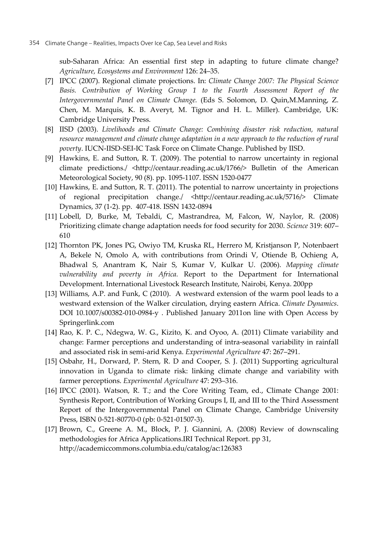sub-Saharan Africa: An essential first step in adapting to future climate change? *Agriculture, Ecosystems and Environment* 126: 24–35.

- [7] IPCC (2007). Regional climate projections. In: *Climate Change 2007: The Physical Science Basis. Contribution of Working Group 1 to the Fourth Assessment Report of the Intergovernmental Panel on Climate Change.* (Eds S. Solomon, D. Quin,M.Manning, Z. Chen, M. Marquis, K. B. Averyt, M. Tignor and H. L. Miller). Cambridge, UK: Cambridge University Press.
- [8] IISD (2003). *Livelihoods and Climate Change: Combining disaster risk reduction, natural resource management and climate change adaptation in a new approach to the reduction of rural poverty*. IUCN-IISD-SEI-IC Task Force on Climate Change. Published by IISD.
- [9] Hawkins, E. and Sutton, R. T. (2009). The potential to narrow uncertainty in regional climate predictions./ <http://centaur.reading.ac.uk/1766/> Bulletin of the American Meteorological Society, 90 (8). pp. 1095-1107. ISSN 1520-0477
- [10] Hawkins, E. and Sutton, R. T. (2011). The potential to narrow uncertainty in projections of regional precipitation change./ <http://centaur.reading.ac.uk/5716/> Climate Dynamics, 37 (1-2). pp. 407-418. ISSN 1432-0894
- [11] Lobell, D, Burke, M, Tebaldi, C, Mastrandrea, M, Falcon, W, Naylor, R. (2008) Prioritizing climate change adaptation needs for food security for 2030. *Science* 319: 607– 610
- [12] Thornton PK, Jones PG, Owiyo TM, Kruska RL, Herrero M, Kristjanson P, Notenbaert A, Bekele N, Omolo A, with contributions from Orindi V, Otiende B, Ochieng A, Bhadwal S, Anantram K, Nair S, Kumar V, Kulkar U. (2006). *Mapping climate vulnerability and poverty in Africa.* Report to the Department for International Development. International Livestock Research Institute, Nairobi, Kenya. 200pp
- [13] Williams, A.P. and Funk, C (2010). A westward extension of the warm pool leads to a westward extension of the Walker circulation, drying eastern Africa. *Climate Dynamics*. DOI 10.1007/s00382-010-0984-y . Published January 2011on line with Open Access by Springerlink.com
- [14] Rao, K. P. C., Ndegwa, W. G., Kizito, K. and Oyoo, A. (2011) Climate variability and change: Farmer perceptions and understanding of intra-seasonal variability in rainfall and associated risk in semi-arid Kenya. *Experimental Agriculture* 47: 267–291.
- [15] Osbahr, H., Dorward, P. Stern, R. D and Cooper, S. J. (2011) Supporting agricultural innovation in Uganda to climate risk: linking climate change and variability with farmer perceptions. *Experimental Agriculture* 47: 293–316.
- [16] IPCC (2001). Watson, R. T.; and the Core Writing Team, ed., Climate Change 2001: Synthesis Report, Contribution of Working Groups I, II, and III to the Third Assessment Report of the Intergovernmental Panel on Climate Change, Cambridge University Press, ISBN 0-521-80770-0 (pb: 0-521-01507-3).
- [17] Brown, C., Greene A. M., Block, P. J. Giannini, A. (2008) Review of downscaling methodologies for Africa Applications.IRI Technical Report. pp 31, http://academiccommons.columbia.edu/catalog/ac:126383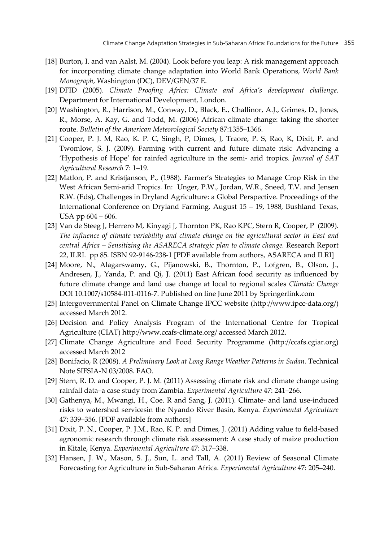- [18] Burton, I. and van Aalst, M. (2004). Look before you leap: A risk management approach for incorporating climate change adaptation into World Bank Operations, *World Bank Monograph*, Washington (DC), DEV/GEN/37 E.
- [19] DFID (2005). *Climate Proofing Africa: Climate and Africa's development challenge*. Department for International Development, London.
- [20] Washington, R., Harrison, M., Conway, D., Black, E., Challinor, A.J., Grimes, D., Jones, R., Morse, A. Kay, G. and Todd, M. (2006) African climate change: taking the shorter route. *Bulletin of the American Meteorological Society* 87:1355–1366.
- [21] Cooper, P. J. M, Rao, K. P. C, Singh, P, Dimes, J, Traore, P. S, Rao, K, Dixit, P. and Twomlow, S. J. (2009). Farming with current and future climate risk: Advancing a 'Hypothesis of Hope' for rainfed agriculture in the semi- arid tropics. *Journal of SAT Agricultural Research* 7: 1–19.
- [22] Matlon, P. and Kristjanson, P., (1988). Farmer's Strategies to Manage Crop Risk in the West African Semi-arid Tropics*.* In: Unger, P.W., Jordan, W.R., Sneed, T.V. and Jensen R.W. (Eds), Challenges in Dryland Agriculture: a Global Perspective. Proceedings of the International Conference on Dryland Farming, August 15 – 19, 1988, Bushland Texas, USA pp 604 – 606.
- [23] Van de Steeg J, Herrero M, Kinyagi J, Thornton PK, Rao KPC, Stern R, Cooper, P (2009). *The influence of climate variability and climate change on the agricultural sector in East and central Africa – Sensitizing the ASARECA strategic plan to climate change.* Research Report 22, ILRI. pp 85. ISBN 92-9146-238-1 [PDF available from authors, ASARECA and ILRI]
- [24] Moore, N., Alagarswamy, G., Pijanowski, B., Thornton, P., Lofgren, B., Olson, J., Andresen, J., Yanda, P. and Qi, J. (2011) East African food security as influenced by future climate change and land use change at local to regional scales *Climatic Change* DOI 10.1007/s10584-011-0116-7. Published on line June 2011 by Springerlink.com
- [25] Intergovernmental Panel on Climate Change IPCC website (http://www.ipcc-data.org/) accessed March 2012.
- [26] Decision and Policy Analysis Program of the International Centre for Tropical Agriculture (CIAT) http://www.ccafs-climate.org/ accessed March 2012.
- [27] Climate Change Agriculture and Food Security Programme (http://ccafs.cgiar.org) accessed March 2012
- [28] Bonifacio, R (2008). *A Preliminary Look at Long Range Weather Patterns in Sudan.* Technical Note SIFSIA-N 03/2008. FAO.
- [29] Stern, R. D. and Cooper, P. J. M. (2011) Assessing climate risk and climate change using rainfall data–a case study from Zambia. *Experimental Agriculture* 47: 241–266.
- [30] Gathenya, M., Mwangi, H., Coe. R and Sang, J. (2011). Climate- and land use-induced risks to watershed servicesin the Nyando River Basin, Kenya. *Experimental Agriculture*  47: 339–356. [PDF available from authors]
- [31] Dixit, P. N., Cooper, P. J.M., Rao, K. P. and Dimes, J. (2011) Adding value to field-based agronomic research through climate risk assessment: A case study of maize production in Kitale, Kenya. *Experimental Agriculture* 47: 317–338.
- [32] Hansen, J. W., Mason, S. J., Sun, L. and Tall, A. (2011) Review of Seasonal Climate Forecasting for Agriculture in Sub-Saharan Africa. *Experimental Agriculture* 47: 205–240.